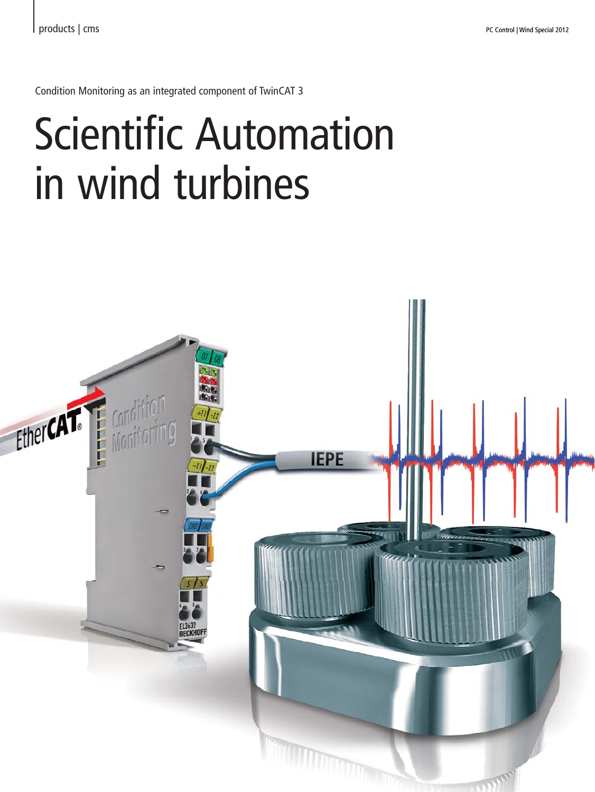Condition Monitoring as an integrated component of TwinCAT 3

## Scientific Automation in wind turbines

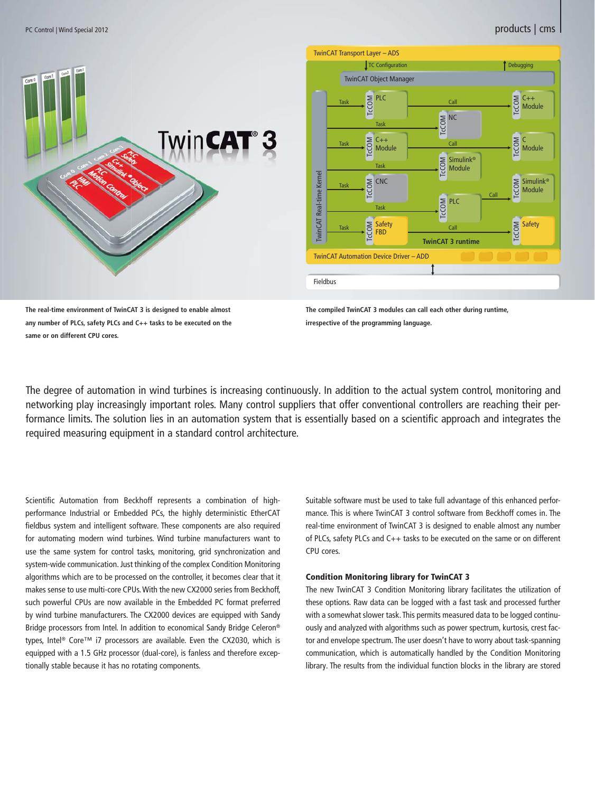



**The real-time environment of TwinCAT 3 is designed to enable almost any number of PLCs, safety PLCs and C++ tasks to be executed on the same or on different CPU cores.**

**The compiled TwinCAT 3 modules can call each other during runtime, irrespective of the programming language.**

The degree of automation in wind turbines is increasing continuously. In addition to the actual system control, monitoring and networking play increasingly important roles. Many control suppliers that offer conventional controllers are reaching their performance limits. The solution lies in an automation system that is essentially based on a scientific approach and integrates the required measuring equipment in a standard control architecture.

Scientific Automation from Beckhoff represents a combination of highperformance Industrial or Embedded PCs, the highly deterministic EtherCAT fieldbus system and intelligent software. These components are also required for automating modern wind turbines. Wind turbine manufacturers want to use the same system for control tasks, monitoring, grid synchronization and system-wide communication. Just thinking of the complex Condition Monitoring algorithms which are to be processed on the controller, it becomes clear that it makes sense to use multi-core CPUs. With the new CX2000 series from Beckhoff, such powerful CPUs are now available in the Embedded PC format preferred by wind turbine manufacturers. The CX2000 devices are equipped with Sandy Bridge processors from Intel. In addition to economical Sandy Bridge Celeron® types, Intel® Core™ i7 processors are available. Even the CX2030, which is equipped with a 1.5 GHz processor (dual-core), is fanless and therefore exceptionally stable because it has no rotating components.

Suitable software must be used to take full advantage of this enhanced performance. This is where TwinCAT 3 control software from Beckhoff comes in. The real-time environment of TwinCAT 3 is designed to enable almost any number of PLCs, safety PLCs and C++ tasks to be executed on the same or on different CPU cores.

## Condition Monitoring library for TwinCAT 3

The new TwinCAT 3 Condition Monitoring library facilitates the utilization of these options. Raw data can be logged with a fast task and processed further with a somewhat slower task. This permits measured data to be logged continuously and analyzed with algorithms such as power spectrum, kurtosis, crest factor and envelope spectrum. The user doesn't have to worry about task-spanning communication, which is automatically handled by the Condition Monitoring library. The results from the individual function blocks in the library are stored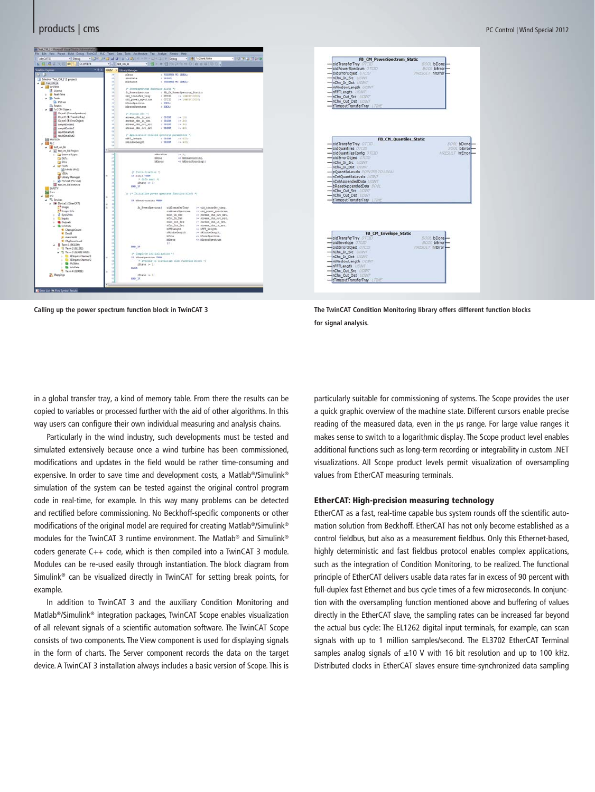

| FB CM PowerSpectrum Static                                                 |                                                    |
|----------------------------------------------------------------------------|----------------------------------------------------|
| oidTransferTrav OTCID                                                      | <b>BOOI</b> bDone                                  |
| oidPowerSpectrum OTERD                                                     | <b>BOOL</b> bErrory                                |
| oldErrorObject OTEND                                                       | HRESULT hrError                                    |
| inChin In Sire UDINT                                                       |                                                    |
| nChn In Dst UDINT                                                          |                                                    |
| nWindowLength UDINT                                                        |                                                    |
| nFFTLength UDIVE                                                           |                                                    |
| nChn Out Src UCIIVT                                                        |                                                    |
| nChn Out Dst MOINT                                                         |                                                    |
| tTimeoutTransferTray [7745]                                                |                                                    |
| oidTransferTray (FICID)                                                    | <b>FB CM Quantiles Static</b><br><b>BOOL bDone</b> |
| oidQuantiles OTCID                                                         | <b>BOOL</b> bError                                 |
| oidOuantilesComig 07000                                                    | HRESLILT hrError                                   |
| oldErrorObted: 07000                                                       |                                                    |
| nChn In Src UGINT                                                          |                                                    |
| nChn In Dst LIDINT                                                         |                                                    |
| pQuantileLevels POINTER TO LREAL                                           |                                                    |
| nCntOuantileLevels UDIVT                                                   |                                                    |
| inCntAppendedData UDINT                                                    |                                                    |
| bResetAppendedData #001                                                    |                                                    |
| inChin Out Sire UCIIVT                                                     |                                                    |
| -InChn Out Dst UDIVT                                                       |                                                    |
| tTimeoutTransferTray LTIME                                                 |                                                    |
|                                                                            |                                                    |
|                                                                            |                                                    |
| <b>FB CM Envelope Static</b><br>oldTransferTray OTCID<br>oidEnvelope OTERD | EOOL bDone<br><b>BOOL</b> bError                   |
| oidErrorObjed OTCID                                                        | HIRFSH T hrError-                                  |
|                                                                            |                                                    |
| nChn In Src UDIVT<br>nChn In Dst WONT                                      |                                                    |
| nWindowLength UDIVE                                                        |                                                    |
|                                                                            |                                                    |
|                                                                            |                                                    |
| nFFTLength UDIVT                                                           |                                                    |
| nChn Out Src MOINT                                                         |                                                    |
| -InChn Out Dst UDINT<br>tTimeoutTransferTray                               |                                                    |

**Calling up the power spectrum function block in TwinCAT 3 The TwinCAT Condition Monitoring library offers different function blocks for signal analysis.**

in a global transfer tray, a kind of memory table. From there the results can be copied to variables or processed further with the aid of other algorithms. In this way users can configure their own individual measuring and analysis chains.

 Particularly in the wind industry, such developments must be tested and simulated extensively because once a wind turbine has been commissioned, modifications and updates in the field would be rather time-consuming and expensive. In order to save time and development costs, a Matlab®/Simulink® simulation of the system can be tested against the original control program code in real-time, for example. In this way many problems can be detected and rectified before commissioning. No Beckhoff-specific components or other modifications of the original model are required for creating Matlab®/Simulink® modules for the TwinCAT 3 runtime environment. The Matlab® and Simulink® coders generate C++ code, which is then compiled into a TwinCAT 3 module. Modules can be re-used easily through instantiation. The block diagram from Simulink® can be visualized directly in TwinCAT for setting break points, for example.

 In addition to TwinCAT 3 and the auxiliary Condition Monitoring and Matlab®/Simulink® integration packages, TwinCAT Scope enables visualization of all relevant signals of a scientific automation software. The TwinCAT Scope consists of two components. The View component is used for displaying signals in the form of charts. The Server component records the data on the target device. A TwinCAT 3 installation always includes a basic version of Scope. This is particularly suitable for commissioning of systems. The Scope provides the user a quick graphic overview of the machine state. Different cursors enable precise reading of the measured data, even in the μs range. For large value ranges it makes sense to switch to a logarithmic display. The Scope product level enables additional functions such as long-term recording or integrability in custom .NET visualizations. All Scope product levels permit visualization of oversampling values from EtherCAT measuring terminals.

## EtherCAT: High-precision measuring technology

EtherCAT as a fast, real-time capable bus system rounds off the scientific automation solution from Beckhoff. EtherCAT has not only become established as a control fieldbus, but also as a measurement fieldbus. Only this Ethernet-based, highly deterministic and fast fieldbus protocol enables complex applications, such as the integration of Condition Monitoring, to be realized. The functional principle of EtherCAT delivers usable data rates far in excess of 90 percent with full-duplex fast Ethernet and bus cycle times of a few microseconds. In conjunction with the oversampling function mentioned above and buffering of values directly in the EtherCAT slave, the sampling rates can be increased far beyond the actual bus cycle: The EL1262 digital input terminals, for example, can scan signals with up to 1 million samples/second. The EL3702 EtherCAT Terminal samples analog signals of  $\pm 10$  V with 16 bit resolution and up to 100 kHz. Distributed clocks in EtherCAT slaves ensure time-synchronized data sampling